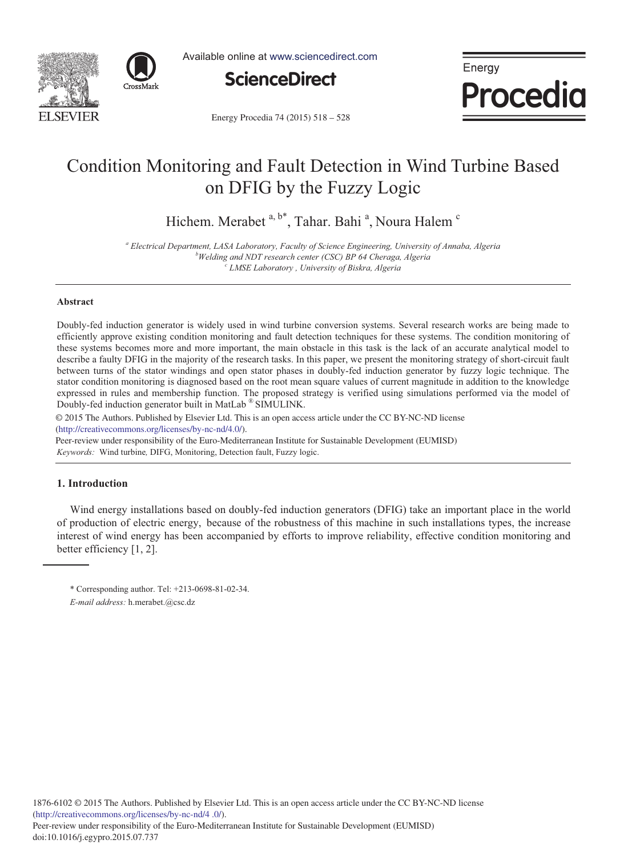



Available online at www.sciencedirect.com



Energy **Procedia** 

Energy Procedia 74 (2015) 518 - 528

# Condition Monitoring and Fault Detection in Wind Turbine Based on DFIG by the Fuzzy Logic

Hichem. Merabet <sup>a, b\*</sup>, Tahar. Bahi <sup>a</sup>, Noura Halem <sup>c</sup>

<sup>a</sup> Electrical Department, LASA Laboratory, Faculty of Science Engineering, University of Annaba, Algeria *b*<sup>b</sup>Walding and NDT research center (CSC) RP 64 Chergga, Algeria *Welding and NDT research center (CSC) BP 64 Cheraga, Algeria c LMSE Laboratory , University of Biskra, Algeria* 

### **Abstract**

Doubly-fed induction generator is widely used in wind turbine conversion systems. Several research works are being made to efficiently approve existing condition monitoring and fault detection techniques for these systems. The condition monitoring of these systems becomes more and more important, the main obstacle in this task is the lack of an accurate analytical model to describe a faulty DFIG in the majority of the research tasks. In this paper, we present the monitoring strategy of short-circuit fault between turns of the stator windings and open stator phases in doubly-fed induction generator by fuzzy logic technique. The stator condition monitoring is diagnosed based on the root mean square values of current magnitude in addition to the knowledge expressed in rules and membership function. The proposed strategy is verified using simulations performed via the model of Doubly-fed induction generator built in MatLab ® SIMULINK.

© 2015 The Authors. Published by Elsevier Ltd. © 2015 The Authors. Published by Elsevier Ltd. This is an open access article under the CC BY-NC-ND license (http://creativecommons.org/licenses/by-nc-nd/4.0/).

*Keywords:* Wind turbine*,* DIFG, Monitoring, Detection fault, Fuzzy logic. Peer-review under responsibility of the Euro-Mediterranean Institute for Sustainable Development (EUMISD)

### **1. Introduction**

Wind energy installations based on doubly-fed induction generators (DFIG) take an important place in the world of production of electric energy, because of the robustness of this machine in such installations types, the increase interest of wind energy has been accompanied by efforts to improve reliability, effective condition monitoring and better efficiency [1, 2].

*E-mail address:* h.merabet.@csc.dz

<sup>\*</sup> Corresponding author. Tel: +213-0698-81-02-34.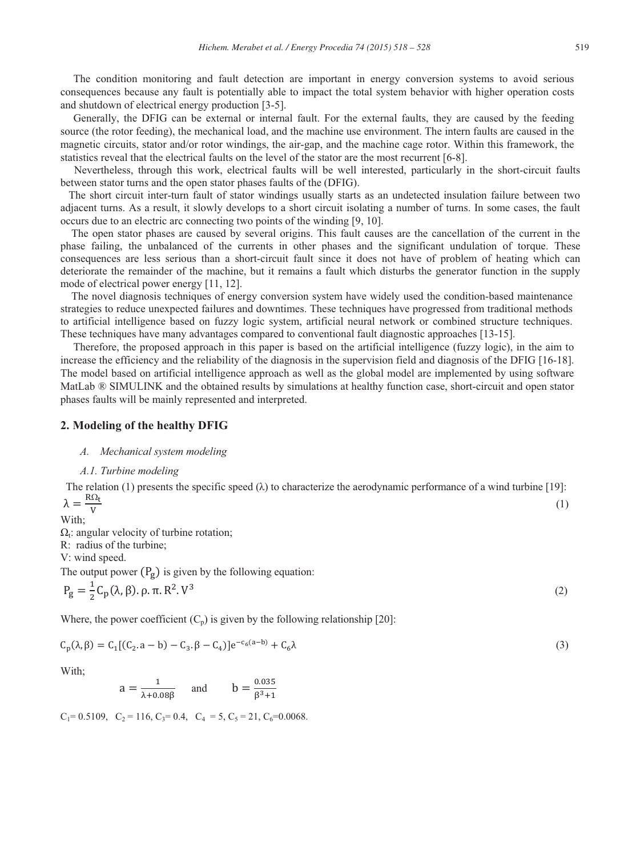The condition monitoring and fault detection are important in energy conversion systems to avoid serious consequences because any fault is potentially able to impact the total system behavior with higher operation costs and shutdown of electrical energy production [3-5].

Generally, the DFIG can be external or internal fault. For the external faults, they are caused by the feeding source (the rotor feeding), the mechanical load, and the machine use environment. The intern faults are caused in the magnetic circuits, stator and/or rotor windings, the air-gap, and the machine cage rotor. Within this framework, the statistics reveal that the electrical faults on the level of the stator are the most recurrent [6-8].

 Nevertheless, through this work, electrical faults will be well interested, particularly in the short-circuit faults between stator turns and the open stator phases faults of the (DFIG).

 The short circuit inter-turn fault of stator windings usually starts as an undetected insulation failure between two adjacent turns. As a result, it slowly develops to a short circuit isolating a number of turns. In some cases, the fault occurs due to an electric arc connecting two points of the winding [9, 10].

 The open stator phases are caused by several origins. This fault causes are the cancellation of the current in the phase failing, the unbalanced of the currents in other phases and the significant undulation of torque. These consequences are less serious than a short-circuit fault since it does not have of problem of heating which can deteriorate the remainder of the machine, but it remains a fault which disturbs the generator function in the supply mode of electrical power energy [11, 12].

 The novel diagnosis techniques of energy conversion system have widely used the condition-based maintenance strategies to reduce unexpected failures and downtimes. These techniques have progressed from traditional methods to artificial intelligence based on fuzzy logic system, artificial neural network or combined structure techniques. These techniques have many advantages compared to conventional fault diagnostic approaches [13-15].

Therefore, the proposed approach in this paper is based on the artificial intelligence (fuzzy logic), in the aim to increase the efficiency and the reliability of the diagnosis in the supervision field and diagnosis of the DFIG [16-18]. The model based on artificial intelligence approach as well as the global model are implemented by using software MatLab ® SIMULINK and the obtained results by simulations at healthy function case, short-circuit and open stator phases faults will be mainly represented and interpreted.

### **2. Modeling of the healthy DFIG**

### *A. Mechanical system modeling*

#### *A.1. Turbine modeling*

The relation (1) presents the specific speed ( $\lambda$ ) to characterize the aerodynamic performance of a wind turbine [19]:

$$
\lambda = \frac{R\Omega_t}{V} \tag{1}
$$

With;

 $\Omega_t$ : angular velocity of turbine rotation;

R: radius of the turbine;

V: wind speed.

The output power  $(P_g)$  is given by the following equation:

$$
P_g = \frac{1}{2}C_p(\lambda, \beta). \rho. \pi. R^2. V^3
$$

Where, the power coefficient  $(C_p)$  is given by the following relationship [20]:

$$
C_p(\lambda, \beta) = C_1[(C_2 \cdot a - b) - C_3 \cdot \beta - C_4)]e^{-c_6(a - b)} + C_6\lambda
$$
\n(3)

With;

$$
a = \frac{1}{\lambda + 0.08\beta}
$$
 and  $b = \frac{0.035}{\beta^3 + 1}$ 

 $C_1$ = 0.5109,  $C_2$  = 116,  $C_3$ = 0.4,  $C_4$  = 5,  $C_5$  = 21,  $C_6$ =0.0068.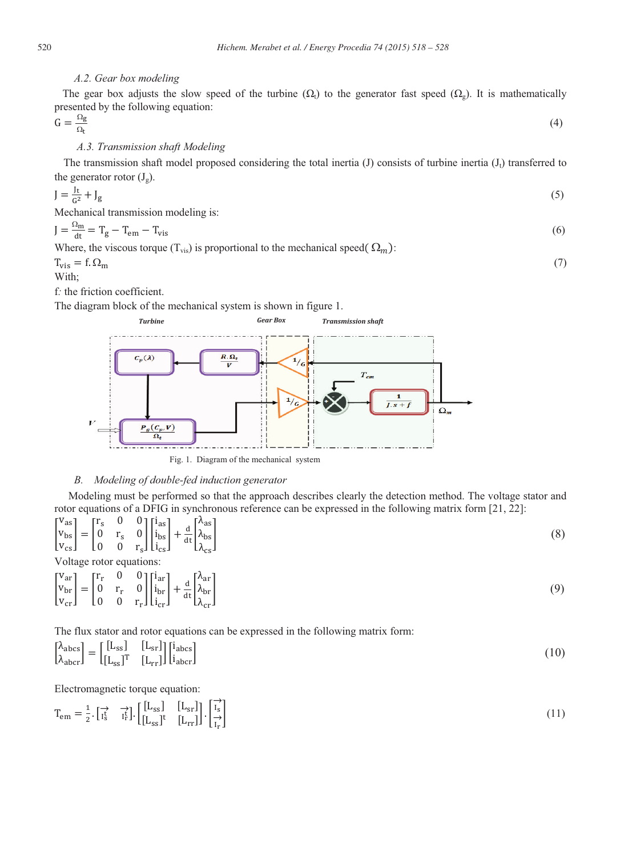### *A.2. Gear box modeling*

The gear box adjusts the slow speed of the turbine  $(\Omega_t)$  to the generator fast speed  $(\Omega_\varphi)$ . It is mathematically presented by the following equation:

$$
G = \frac{\Omega_g}{\Omega_t} \tag{4}
$$

# *A.3. Transmission shaft Modeling*

The transmission shaft model proposed considering the total inertia  $(J)$  consists of turbine inertia  $(J<sub>1</sub>)$  transferred to the generator rotor  $(J_{\varphi})$ .

$$
J = \frac{J_f}{G^2} + J_g \tag{5}
$$

Mechanical transmission modeling is:

$$
J = \frac{\Omega_m}{dt} = T_g - T_{em} - T_{vis}
$$
\n
$$
J = \frac{\Omega_m}{dt} = T_g - T_{em} - T_{vis}
$$
\n(6)

Where, the viscous torque (T<sub>vis</sub>) is proportional to the mechanical speed( $\Omega_m$ ):<br>T<sub>vis</sub> = f.  $\Omega_m$  $T_{\text{vis}} = f \Omega_{\text{m}}$  (7)

With;

f*:* the friction coefficient.

The diagram block of the mechanical system is shown in figure 1.



# Fig. 1. Diagram of the mechanical system

## *B. Modeling of double-fed induction generator*

 Modeling must be performed so that the approach describes clearly the detection method. The voltage stator and rotor equations of a DFIG in synchronous reference can be expressed in the following matrix form [21, 22]:

$$
\begin{bmatrix}\nV_{\text{as}} \\
V_{\text{bs}} \\
V_{\text{cs}}\n\end{bmatrix} = \begin{bmatrix}\n\Gamma_{\text{s}} & 0 & 0 \\
0 & \Gamma_{\text{s}} & 0 \\
0 & 0 & \Gamma_{\text{s}}\n\end{bmatrix} \begin{bmatrix}\n\text{i}_{\text{as}} \\
\text{i}_{\text{bs}} \\
\text{i}_{\text{cs}}\n\end{bmatrix} + \frac{d}{dt} \begin{bmatrix}\n\lambda_{\text{as}} \\
\lambda_{\text{bs}} \\
\lambda_{\text{cs}}\n\end{bmatrix}
$$
\n(8)

Voltage rotor equations:

$$
\begin{bmatrix}\n\mathbf{v}_{\text{br}} \\
\mathbf{v}_{\text{br}} \\
\mathbf{v}_{\text{cr}}\n\end{bmatrix} = \begin{bmatrix}\n\mathbf{r}_{\text{r}} & 0 & 0 \\
0 & \mathbf{r}_{\text{r}} & 0 \\
0 & 0 & \mathbf{r}_{\text{r}}\n\end{bmatrix} \begin{bmatrix}\n\mathbf{i}_{\text{ar}} \\
\mathbf{i}_{\text{br}} \\
\mathbf{i}_{\text{cr}}\n\end{bmatrix} + \frac{d}{dt} \begin{bmatrix}\n\lambda_{\text{ar}} \\
\lambda_{\text{br}} \\
\lambda_{\text{cr}}\n\end{bmatrix}
$$
\n(9)

The flux stator and rotor equations can be expressed in the following matrix form:

$$
\begin{bmatrix} \lambda_{\text{abcs}} \\ \lambda_{\text{abcr}} \end{bmatrix} = \begin{bmatrix} [L_{ss}] & [L_{sr}] \\ [L_{ss}]^T & [L_{rr}] \end{bmatrix} \begin{bmatrix} i_{\text{abcs}} \\ i_{\text{abcr}} \end{bmatrix} \tag{10}
$$

Electromagnetic torque equation:

$$
T_{em} = \frac{1}{2} \cdot \begin{bmatrix} \overrightarrow{r_s} & \overrightarrow{r_t} \end{bmatrix} \cdot \begin{bmatrix} \begin{bmatrix} L_{ss} \end{bmatrix} & \begin{bmatrix} L_{sr} \end{bmatrix} \end{bmatrix} \cdot \begin{bmatrix} \overrightarrow{I_s} \\ \overrightarrow{I_r} \end{bmatrix}
$$
(11)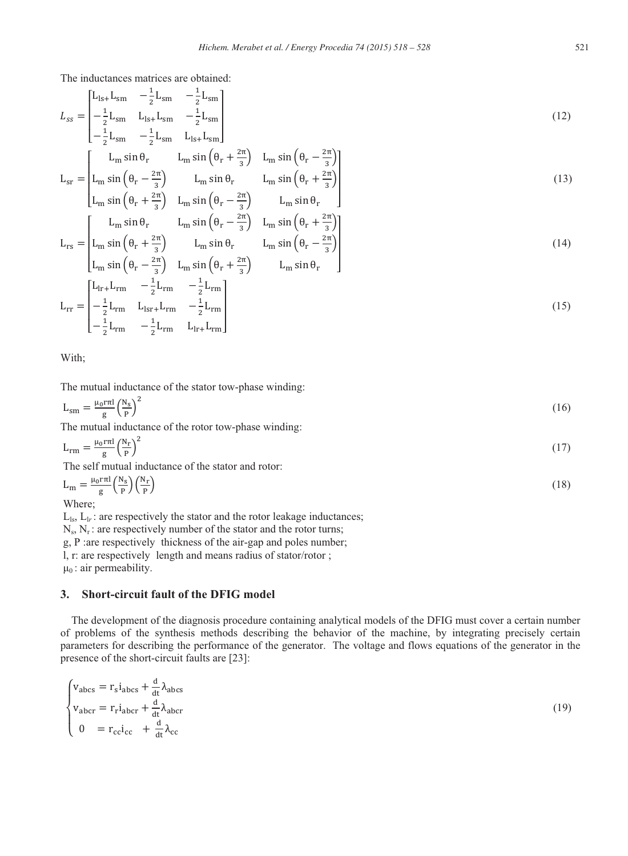The inductances matrices are obtained:

$$
L_{ss} = \begin{bmatrix} L_{\text{ls}} + L_{\text{sm}} & -\frac{1}{2} L_{\text{sm}} & -\frac{1}{2} L_{\text{sm}} \\ -\frac{1}{2} L_{\text{sm}} & L_{\text{ls}} + L_{\text{sm}} & -\frac{1}{2} L_{\text{sm}} \\ -\frac{1}{2} L_{\text{sm}} & -\frac{1}{2} L_{\text{sm}} & L_{\text{ls}} + L_{\text{sm}} \end{bmatrix}
$$
(12)

$$
L_{sr} = \begin{bmatrix} L_m \sin \theta_r & L_{ls} + L_{sm} \\ L_m \sin \theta_r & L_m \sin \left(\theta_r + \frac{2\pi}{3}\right) & L_m \sin \left(\theta_r - \frac{2\pi}{3}\right) \\ L_{sr} = \begin{bmatrix} L_m \sin \left(\theta_r - \frac{2\pi}{3}\right) & L_m \sin \theta_r & L_m \sin \left(\theta_r + \frac{2\pi}{3}\right) \\ L_m \sin \left(\theta_r + \frac{2\pi}{3}\right) & L_m \sin \left(\theta_r + \frac{2\pi}{3}\right) \end{bmatrix}
$$
(13)

$$
\left[ L_{\rm m} \sin \left( \theta_{\rm r} + \frac{2\pi}{3} \right) \right] L_{\rm m} \sin \left( \theta_{\rm r} - \frac{2\pi}{3} \right) \qquad L_{\rm m} \sin \theta_{\rm r} \qquad \right]
$$
  

$$
I_{\rm m} = \begin{bmatrix} L_{\rm m} \sin \theta_{\rm r} & L_{\rm m} \sin \left( \theta_{\rm r} - \frac{2\pi}{3} \right) & L_{\rm m} \sin \left( \theta_{\rm r} + \frac{2\pi}{3} \right) \\ I_{\rm m} \sin \left( \theta_{\rm r} + \frac{2\pi}{3} \right) & I_{\rm m} \sin \left( \theta_{\rm r} - \frac{2\pi}{3} \right) \end{bmatrix} \qquad (14)
$$

$$
L_{rs} = \begin{bmatrix} L_m \sin\left(\theta_r + \frac{2\pi}{3}\right) & L_m \sin\theta_r & L_m \sin\left(\theta_r - \frac{2\pi}{3}\right) \\ L_m \sin\left(\theta_r - \frac{2\pi}{3}\right) & L_m \sin\left(\theta_r + \frac{2\pi}{3}\right) & L_m \sin\theta_r \end{bmatrix}
$$
(14)

$$
L_{rr} = \begin{bmatrix} L_{1r+}L_{rm} & -\frac{1}{2}L_{rm} & -\frac{1}{2}L_{rm} \\ -\frac{1}{2}L_{rm} & L_{1sr+}L_{rm} & -\frac{1}{2}L_{rm} \\ -\frac{1}{2}L_{rm} & -\frac{1}{2}L_{rm} & L_{1r+}L_{rm} \end{bmatrix}
$$
(15)

With;

The mutual inductance of the stator tow-phase winding:

$$
L_{\rm sm} = \frac{\mu_0 r \pi l}{g} \left(\frac{N_s}{P}\right)^2 \tag{16}
$$

The mutual inductance of the rotor tow-phase winding:

$$
L_{rm} = \frac{\mu_0 r \pi l}{g} \left(\frac{N_r}{P}\right)^2 \tag{17}
$$

The self mutual inductance of the stator and rotor:

$$
L_m = \frac{\mu_0 r \pi l}{g} \left(\frac{N_s}{p}\right) \left(\frac{N_r}{p}\right)
$$
\nWhere:

\n
$$
M_c = \frac{N_c}{g} \left(\frac{N_s}{p}\right) \left(\frac{N_r}{p}\right)
$$

Where;

 $L_{ls}$ ,  $L_{lr}$ : are respectively the stator and the rotor leakage inductances;  $N_s$ ,  $N_r$ : are respectively number of the stator and the rotor turns;

g, P :are respectively thickness of the air-gap and poles number;

 l, r: are respectively length and means radius of stator/rotor ;  $\mu_0$ : air permeability.

**3. Short-circuit fault of the DFIG model** 

 The development of the diagnosis procedure containing analytical models of the DFIG must cover a certain number of problems of the synthesis methods describing the behavior of the machine, by integrating precisely certain parameters for describing the performance of the generator. The voltage and flows equations of the generator in the presence of the short-circuit faults are [23]:

$$
\begin{cases}\n\mathbf{v}_{\text{abcs}} = \mathbf{r}_{\text{s}} \mathbf{i}_{\text{abcs}} + \frac{\mathbf{d}}{\mathbf{d}t} \lambda_{\text{abcs}} \\
\mathbf{v}_{\text{abcr}} = \mathbf{r}_{\text{r}} \mathbf{i}_{\text{abcr}} + \frac{\mathbf{d}}{\mathbf{d}t} \lambda_{\text{abcr}} \\
0 = \mathbf{r}_{\text{cc}} \mathbf{i}_{\text{cc}} + \frac{\mathbf{d}}{\mathbf{d}t} \lambda_{\text{cc}}\n\end{cases}
$$
\n(19)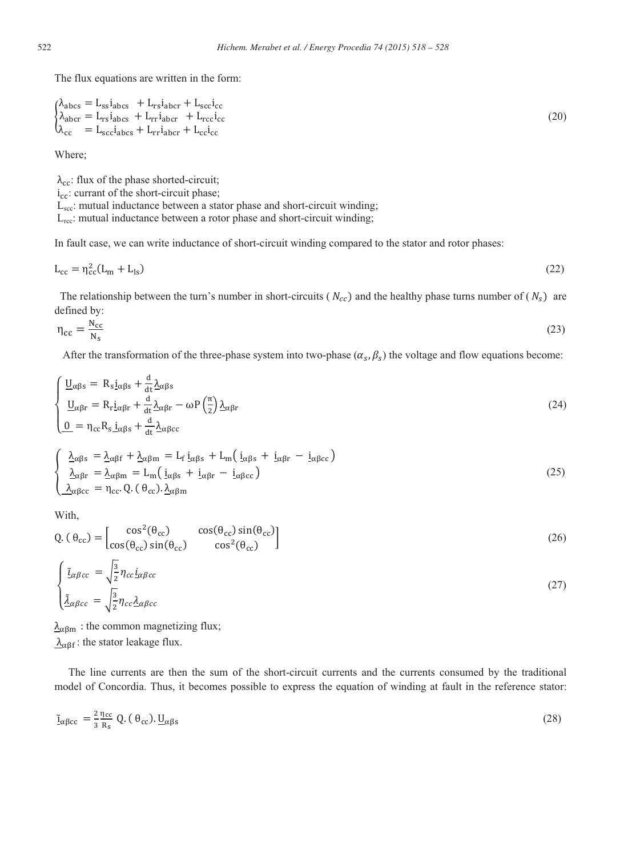The flux equations are written in the form:

$$
\begin{cases} \lambda_{\rm abcs} = L_{\rm ss} i_{\rm abcs} \ + L_{\rm rs} i_{\rm abcr} + L_{\rm scc} i_{\rm cc} \\ \lambda_{\rm abcr} = L_{\rm rs} i_{\rm abcs} \ + L_{\rm rr} i_{\rm abcr} \ + L_{\rm rcc} i_{\rm cc} \\ \lambda_{\rm cc} \ = \ L_{\rm scc} i_{\rm abcs} + L_{\rm rr} i_{\rm abcr} + L_{\rm cc} i_{\rm cc} \end{cases}
$$

Where;

 $\lambda_{cc}$ : flux of the phase shorted-circuit;  $i_{\rm cc}$ : currant of the short-circuit phase; L<sub>scc</sub>: mutual inductance between a stator phase and short-circuit winding; L<sub>rcc</sub>: mutual inductance between a rotor phase and short-circuit winding;

In fault case, we can write inductance of short-circuit winding compared to the stator and rotor phases:

$$
L_{cc} = \eta_{cc}^2 (L_m + L_{ls}) \tag{22}
$$

The relationship between the turn's number in short-circuits ( $N_{cc}$ ) and the healthy phase turns number of ( $N_s$ ) are defined by:

$$
\eta_{cc} = \frac{N_{cc}}{N_S} \tag{23}
$$

After the transformation of the three-phase system into two-phase ( $\alpha_s$ ,  $\beta_s$ ) the voltage and flow equations become:

$$
\begin{cases}\n\underline{U}_{\alpha\beta s} = R_{s}\underline{i}_{\alpha\beta s} + \frac{d}{dt}\underline{\lambda}_{\alpha\beta s} \\
\underline{U}_{\alpha\beta r} = R_{r}\underline{i}_{\alpha\beta r} + \frac{d}{dt}\underline{\lambda}_{\alpha\beta r} - \omega P\left(\frac{\pi}{2}\right)\underline{\lambda}_{\alpha\beta r} \\
\underline{0} = \eta_{cc}R_{s}\underline{i}_{\alpha\beta s} + \frac{d}{dt}\underline{\lambda}_{\alpha\beta cc}\n\end{cases}
$$
\n(24)

$$
\begin{cases}\n\frac{\lambda_{\alpha\beta s} = \lambda_{\alpha\beta f} + \lambda_{\alpha\beta m} = L_f i_{\alpha\beta s} + L_m (i_{\alpha\beta s} + i_{\alpha\beta r} - i_{\alpha\beta cc}) \\
\frac{\lambda_{\alpha\beta r} = \lambda_{\alpha\beta m} = L_m (i_{\alpha\beta s} + i_{\alpha\beta r} - i_{\alpha\beta cc}) \\
\frac{\lambda_{\alpha\beta cc} = \eta_{cc} \cdot Q \cdot (\theta_{cc}) \cdot \lambda_{\alpha\beta m}\n\end{cases}
$$
\n(25)

With,

$$
Q. (\theta_{cc}) = \begin{bmatrix} \cos^2(\theta_{cc}) & \cos(\theta_{cc})\sin(\theta_{cc}) \\ \cos(\theta_{cc})\sin(\theta_{cc}) & \cos^2(\theta_{cc}) \end{bmatrix}
$$
(26)

$$
\begin{cases}\n\tilde{\mathbf{L}}_{\alpha\beta cc} = \sqrt{\frac{3}{2}} \eta_{cc} \underline{\mathbf{L}}_{\alpha\beta cc} \\
\tilde{\mathbf{L}}_{\alpha\beta cc} = \sqrt{\frac{3}{2}} \eta_{cc} \underline{\mathbf{L}}_{\alpha\beta cc}\n\end{cases} \tag{27}
$$

 $\lambda_{\alpha\beta m}$  : the common magnetizing flux;  $\lambda_{\alpha\beta}$ : the stator leakage flux.

The line currents are then the sum of the short-circuit currents and the currents consumed by the traditional model of Concordia. Thus, it becomes possible to express the equation of winding at fault in the reference stator:

$$
\underline{\tilde{I}}_{\alpha\beta cc} = \frac{2}{3} \frac{\eta_{cc}}{R_s} \ Q. (\theta_{cc}). \underline{U}_{\alpha\beta s} \tag{28}
$$

(20)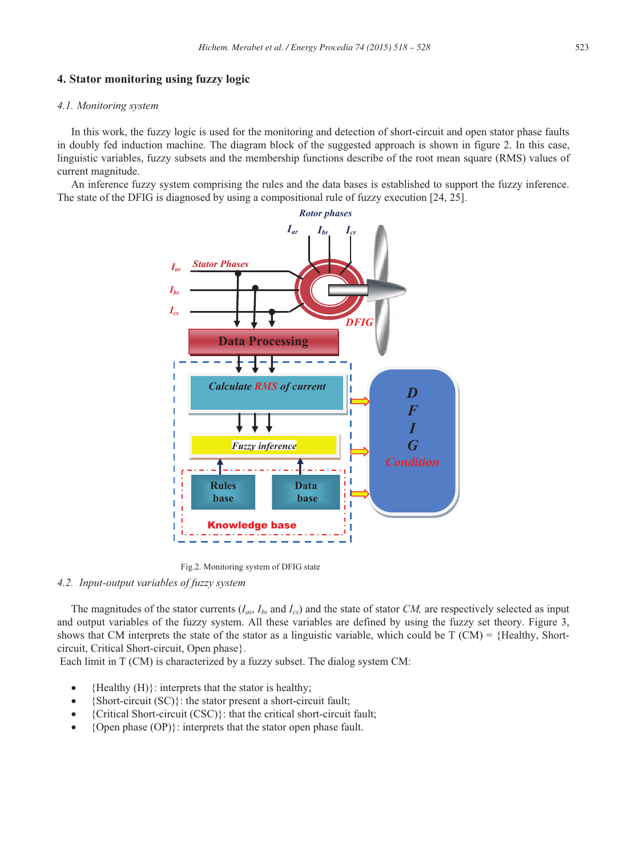#### *4.1. Monitoring system*

In this work, the fuzzy logic is used for the monitoring and detection of short-circuit and open stator phase faults in doubly fed induction machine. The diagram block of the suggested approach is shown in figure 2. In this case, linguistic variables, fuzzy subsets and the membership functions describe of the root mean square (RMS) values of current magnitude.

An inference fuzzy system comprising the rules and the data bases is established to support the fuzzy inference. The state of the DFIG is diagnosed by using a compositional rule of fuzzy execution [24, 25].



Fig.2. Monitoring system of DFIG state

### *4.2. Input-output variables of fuzzy system*

The magnitudes of the stator currents  $(I_{as}, I_{bs}$  and  $I_{cs}$ ) and the state of stator *CM*, are respectively selected as input and output variables of the fuzzy system. All these variables are defined by using the fuzzy set theory. Figure 3, shows that CM interprets the state of the stator as a linguistic variable, which could be  $T (CM) = {Healthy, Short-}$ circuit, Critical Short-circuit, Open phase}.

Each limit in T (CM) is characterized by a fuzzy subset. The dialog system CM:

- ${Healthy(H)}$ : interprets that the stator is healthy;
- ${Short-circuit (SC)}$ : the stator present a short-circuit fault;
- x {Critical Short-circuit (CSC)}: that the critical short-circuit fault;
- ${Open phase (OP)}$ : interprets that the stator open phase fault.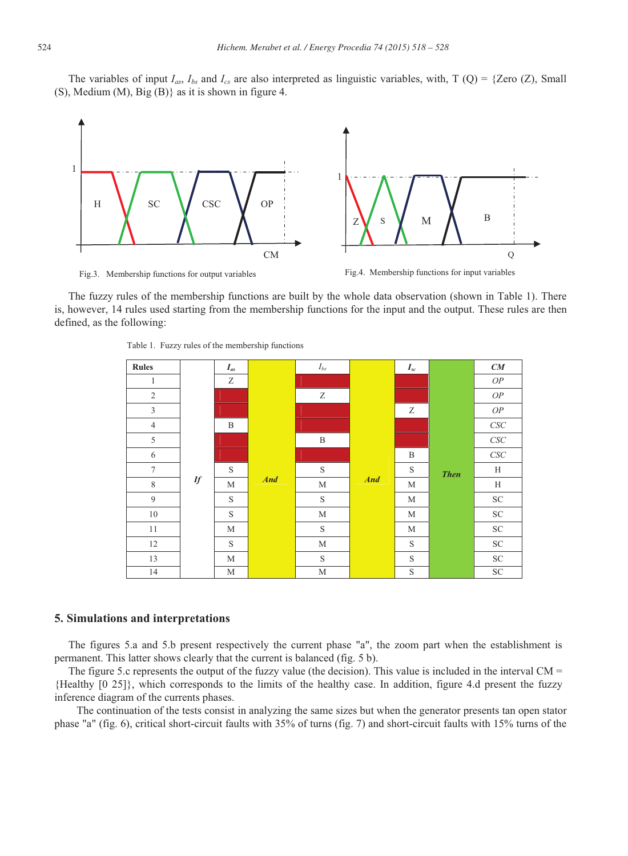The variables of input  $I_{as}$ ,  $I_{bs}$  and  $I_{cs}$  are also interpreted as linguistic variables, with, T (Q) = {Zero (Z), Small (S), Medium (M), Big (B)} as it is shown in figure 4.



The fuzzy rules of the membership functions are built by the whole data observation (shown in Table 1). There is, however, 14 rules used starting from the membership functions for the input and the output. These rules are then defined, as the following:

| <b>Rules</b>   |    | $I_{as}$    |            | $I_{bs}$     |     | $I_{sc}$    |             | CM                                  |
|----------------|----|-------------|------------|--------------|-----|-------------|-------------|-------------------------------------|
| 1              | If | Ζ           | <b>And</b> |              | And |             | <b>Then</b> | ${\cal OP}$                         |
| $\overline{c}$ |    |             |            | Ζ            |     |             |             | OP                                  |
| $\mathfrak{Z}$ |    |             |            |              |     | Z           |             | ${\cal OP}$                         |
| $\overline{4}$ |    | B           |            |              |     |             |             | $C\!S\!C$                           |
| 5              |    |             |            | $\, {\bf B}$ |     |             |             | CSC                                 |
| 6              |    |             |            |              |     | B           |             | $C\hspace{-0.9pt}S\hspace{-0.9pt}C$ |
| $\overline{7}$ |    | S           |            | $\mathbf S$  |     | S           |             | H                                   |
| 8              |    | M           |            | $\mathbf M$  |     | M           |             | H                                   |
| 9              |    | S           |            | $\mathbf S$  |     | M           |             | ${\rm SC}$                          |
| 10             |    | S           |            | $\mathbf M$  |     | M           |             | $\protect\operatorname{SC}$         |
| 11             |    | $\mathbf M$ |            | $\mathbf S$  |     | $\mathbf M$ |             | ${\rm SC}$                          |
| 12             |    | S           |            | $\mathbf M$  |     | S           |             | $\ensuremath{\mathbf{SC}}$          |
| 13             |    | M           |            | $\mathbf S$  |     | S           |             | $\protect\operatorname{SC}$         |
| 14             |    | $\mathbf M$ |            | $\mathbf M$  |     | $\mathbf S$ |             | $\ensuremath{\mathbf{SC}}$          |

Table 1. Fuzzy rules of the membership functions

### **5. Simulations and interpretations**

The figures 5.a and 5.b present respectively the current phase "a", the zoom part when the establishment is permanent. This latter shows clearly that the current is balanced (fig. 5 b).

The figure 5.c represents the output of the fuzzy value (the decision). This value is included in the interval  $CM =$ {Healthy [0 25]}, which corresponds to the limits of the healthy case. In addition, figure 4.d present the fuzzy inference diagram of the currents phases.

 The continuation of the tests consist in analyzing the same sizes but when the generator presents tan open stator phase "a" (fig. 6), critical short-circuit faults with 35% of turns (fig. 7) and short-circuit faults with 15% turns of the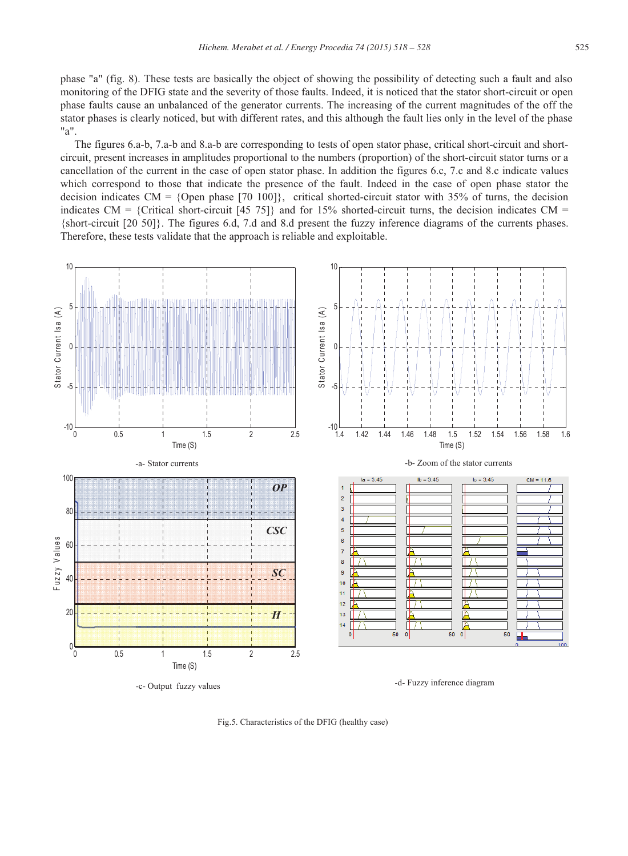phase "a" (fig. 8). These tests are basically the object of showing the possibility of detecting such a fault and also monitoring of the DFIG state and the severity of those faults. Indeed, it is noticed that the stator short-circuit or open phase faults cause an unbalanced of the generator currents. The increasing of the current magnitudes of the off the stator phases is clearly noticed, but with different rates, and this although the fault lies only in the level of the phase "a".

The figures 6.a-b, 7.a-b and 8.a-b are corresponding to tests of open stator phase, critical short-circuit and shortcircuit, present increases in amplitudes proportional to the numbers (proportion) of the short-circuit stator turns or a cancellation of the current in the case of open stator phase. In addition the figures 6.c, 7.c and 8.c indicate values which correspond to those that indicate the presence of the fault. Indeed in the case of open phase stator the decision indicates CM = {Open phase  $[70 100]$ }, critical shorted-circuit stator with 35% of turns, the decision indicates CM = {Critical short-circuit [45 75]} and for 15% shorted-circuit turns, the decision indicates CM = {short-circuit [20 50]}. The figures 6.d, 7.d and 8.d present the fuzzy inference diagrams of the currents phases. Therefore, these tests validate that the approach is reliable and exploitable.



Fig.5. Characteristics of the DFIG (healthy case)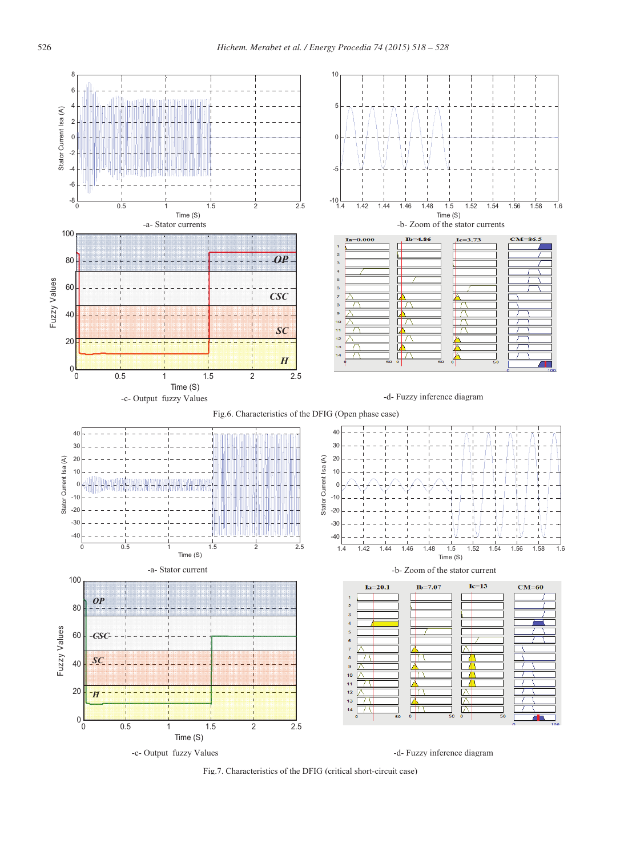

Fig.7. Characteristics of the DFIG (critical short-circuit case)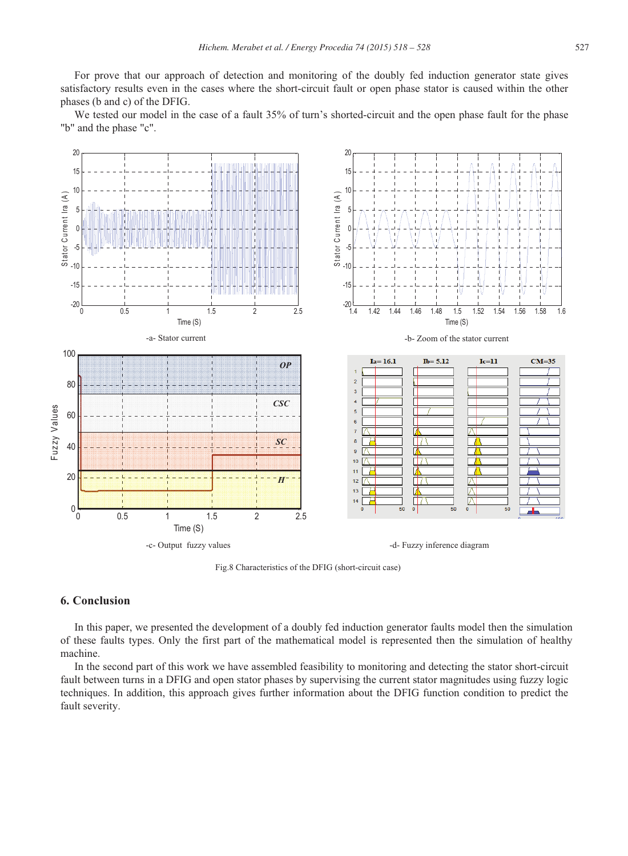For prove that our approach of detection and monitoring of the doubly fed induction generator state gives satisfactory results even in the cases where the short-circuit fault or open phase stator is caused within the other phases (b and c) of the DFIG.

We tested our model in the case of a fault 35% of turn's shorted-circuit and the open phase fault for the phase "b" and the phase "c".



Fig.8 Characteristics of the DFIG (short-circuit case)

# **6. Conclusion**

In this paper, we presented the development of a doubly fed induction generator faults model then the simulation of these faults types. Only the first part of the mathematical model is represented then the simulation of healthy machine.

In the second part of this work we have assembled feasibility to monitoring and detecting the stator short-circuit fault between turns in a DFIG and open stator phases by supervising the current stator magnitudes using fuzzy logic techniques. In addition, this approach gives further information about the DFIG function condition to predict the fault severity.